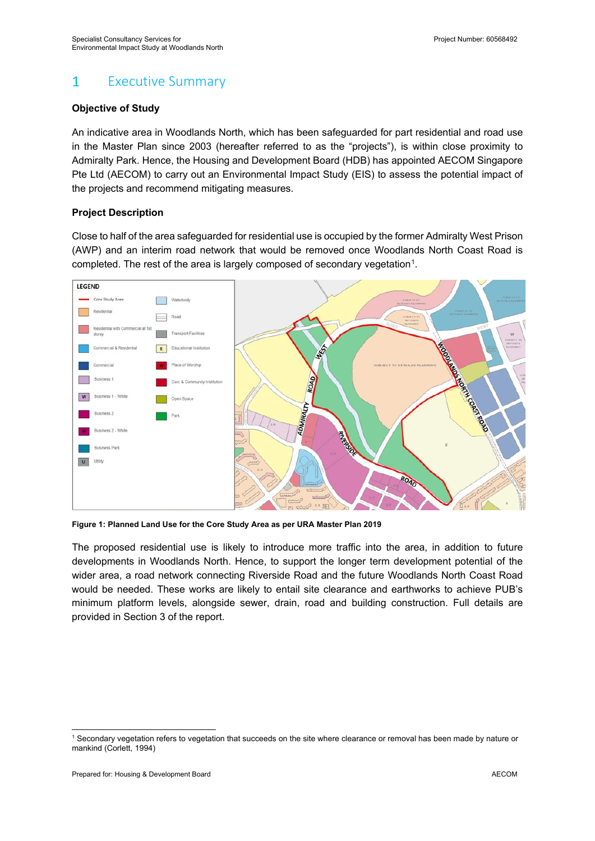#### $\mathbf{1}$ Executive Summary

# **Objective of Study**

An indicative area in Woodlands North, which has been safeguarded for part residential and road use in the Master Plan since 2003 (hereafter referred to as the "projects"), is within close proximity to Admiralty Park. Hence, the Housing and Development Board (HDB) has appointed AECOM Singapore Pte Ltd (AECOM) to carry out an Environmental Impact Study (EIS) to assess the potential impact of the projects and recommend mitigating measures.

# **Project Description**

Close to half of the area safeguarded for residential use is occupied by the former Admiralty West Prison (AWP) and an interim road network that would be removed once Woodlands North Coast Road is completed. The rest of the area is largely composed of secondary vegetation<sup>[1](#page-0-0)</sup>.



**Figure 1: Planned Land Use for the Core Study Area as per URA Master Plan 2019**

The proposed residential use is likely to introduce more traffic into the area, in addition to future developments in Woodlands North. Hence, to support the longer term development potential of the wider area, a road network connecting Riverside Road and the future Woodlands North Coast Road would be needed. These works are likely to entail site clearance and earthworks to achieve PUB's minimum platform levels, alongside sewer, drain, road and building construction. Full details are provided in Section 3 of the report.

<span id="page-0-0"></span><sup>1</sup> Secondary vegetation refers to vegetation that succeeds on the site where clearance or removal has been made by nature or mankind (Corlett, 1994)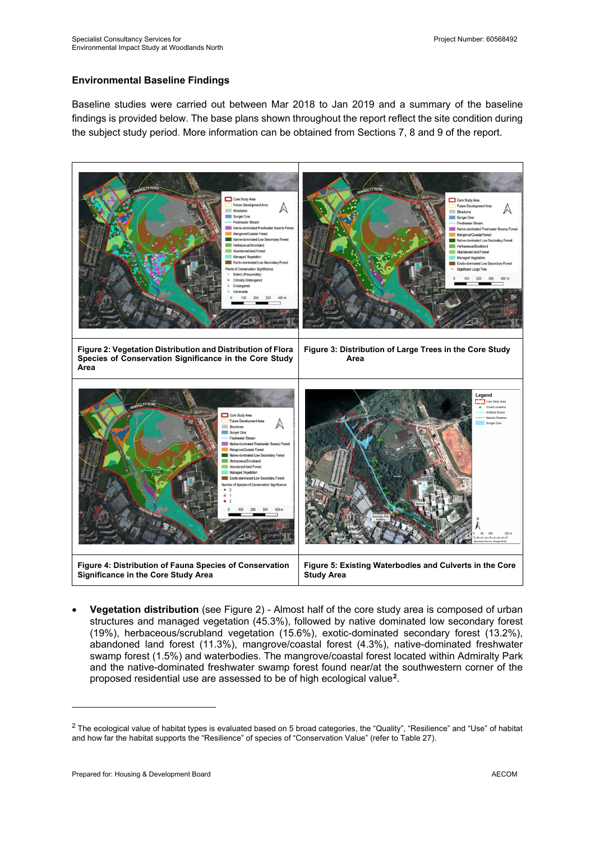## **Environmental Baseline Findings**

Baseline studies were carried out between Mar 2018 to Jan 2019 and a summary of the baseline findings is provided below. The base plans shown throughout the report reflect the site condition during the subject study period. More information can be obtained from Sections 7, 8 and 9 of the report.

<span id="page-1-2"></span><span id="page-1-0"></span>

<span id="page-1-4"></span><span id="page-1-3"></span>• **Vegetation distribution** (see [Figure 2\)](#page-1-0) - Almost half of the core study area is composed of urban structures and managed vegetation (45.3%), followed by native dominated low secondary forest (19%), herbaceous/scrubland vegetation (15.6%), exotic-dominated secondary forest (13.2%), abandoned land forest (11.3%), mangrove/coastal forest (4.3%), native-dominated freshwater swamp forest (1.5%) and waterbodies. The mangrove/coastal forest located within Admiralty Park and the native-dominated freshwater swamp forest found near/at the southwestern corner of the proposed residential use are assessed to be of high ecological value**[2](#page-1-1)**.

<span id="page-1-1"></span><sup>&</sup>lt;sup>2</sup> The ecological value of habitat types is evaluated based on 5 broad categories, the "Quality", "Resilience" and "Use" of habitat and how far the habitat supports the "Resilience" of species of "Conservation Value" (refer to Table 27).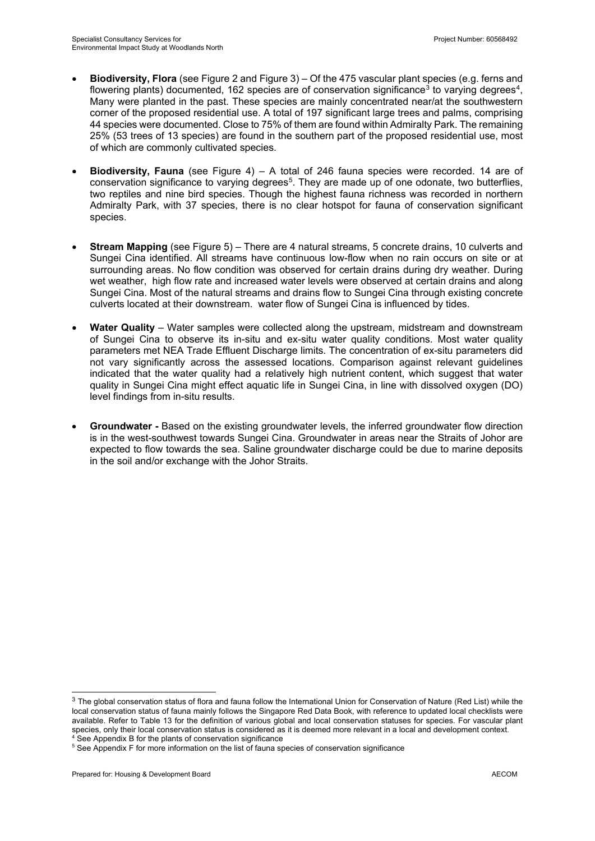- **Biodiversity, Flora** (se[e Figure 2](#page-1-0) an[d Figure 3\)](#page-1-2) Of the 475 vascular plant species (e.g. ferns and flowering plants) documented, 162 species are of conservation significance<sup>[3](#page-2-0)</sup> to varying degrees<sup>4</sup>, Many were planted in the past. These species are mainly concentrated near/at the southwestern corner of the proposed residential use. A total of 197 significant large trees and palms, comprising 44 species were documented. Close to 75% of them are found within Admiralty Park. The remaining 25% (53 trees of 13 species) are found in the southern part of the proposed residential use, most of which are commonly cultivated species.
- **Biodiversity, Fauna** (see [Figure 4\)](#page-1-3) A total of 246 fauna species were recorded. 14 are of conservation significance to varying degrees<sup>5</sup>. They are made up of one odonate, two butterflies, two reptiles and nine bird species. Though the highest fauna richness was recorded in northern Admiralty Park, with 37 species, there is no clear hotspot for fauna of conservation significant species.
- **Stream Mapping** (see [Figure 5\)](#page-1-4) There are 4 natural streams, 5 concrete drains, 10 culverts and Sungei Cina identified. All streams have continuous low-flow when no rain occurs on site or at surrounding areas. No flow condition was observed for certain drains during dry weather. During wet weather, high flow rate and increased water levels were observed at certain drains and along Sungei Cina. Most of the natural streams and drains flow to Sungei Cina through existing concrete culverts located at their downstream. water flow of Sungei Cina is influenced by tides.
- **Water Quality** Water samples were collected along the upstream, midstream and downstream of Sungei Cina to observe its in-situ and ex-situ water quality conditions. Most water quality parameters met NEA Trade Effluent Discharge limits. The concentration of ex-situ parameters did not vary significantly across the assessed locations. Comparison against relevant guidelines indicated that the water quality had a relatively high nutrient content, which suggest that water quality in Sungei Cina might effect aquatic life in Sungei Cina, in line with dissolved oxygen (DO) level findings from in-situ results.
- **Groundwater -** Based on the existing groundwater levels, the inferred groundwater flow direction is in the west-southwest towards Sungei Cina. Groundwater in areas near the Straits of Johor are expected to flow towards the sea. Saline groundwater discharge could be due to marine deposits in the soil and/or exchange with the Johor Straits.

<span id="page-2-0"></span> $3$  The global conservation status of flora and fauna follow the International Union for Conservation of Nature (Red List) while the local conservation status of fauna mainly follows the Singapore Red Data Book, with reference to updated local checklists were available. Refer to Table 13 for the definition of various global and local conservation statuses for species. For vascular plant species, only their local conservation status is considered as it is deemed more relevant in a local and development context.<br>
<sup>4</sup> See Appendix B for the plants of conservation significance

<span id="page-2-2"></span><span id="page-2-1"></span><sup>&</sup>lt;sup>5</sup> See Appendix F for more information on the list of fauna species of conservation significance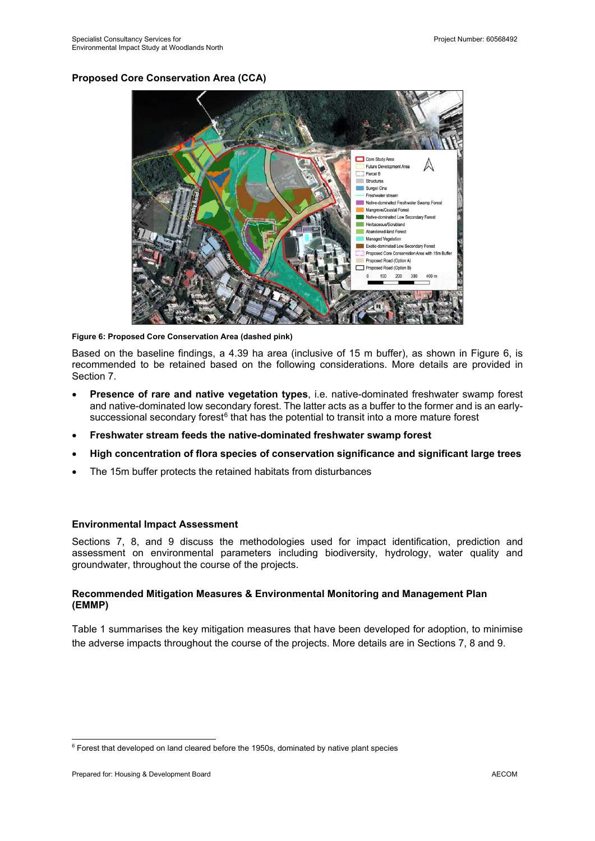## **Proposed Core Conservation Area (CCA)**



**Figure 6: Proposed Core Conservation Area (dashed pink)**

Based on the baseline findings, a 4.39 ha area (inclusive of 15 m buffer), as shown in Figure 6, is recommended to be retained based on the following considerations. More details are provided in Section 7.

- **Presence of rare and native vegetation types**, i.e. native-dominated freshwater swamp forest and native-dominated low secondary forest. The latter acts as a buffer to the former and is an earlysuccessional secondary forest $6$  that has the potential to transit into a more mature forest
- **Freshwater stream feeds the native-dominated freshwater swamp forest**
- **High concentration of flora species of conservation significance and significant large trees**
- The 15m buffer protects the retained habitats from disturbances

## **Environmental Impact Assessment**

Sections 7, 8, and 9 discuss the methodologies used for impact identification, prediction and assessment on environmental parameters including biodiversity, hydrology, water quality and groundwater, throughout the course of the projects.

## **Recommended Mitigation Measures & Environmental Monitoring and Management Plan (EMMP)**

Table 1 summarises the key mitigation measures that have been developed for adoption, to minimise the adverse impacts throughout the course of the projects. More details are in Sections 7, 8 and 9.

<span id="page-3-0"></span><sup>&</sup>lt;sup>6</sup> Forest that developed on land cleared before the 1950s, dominated by native plant species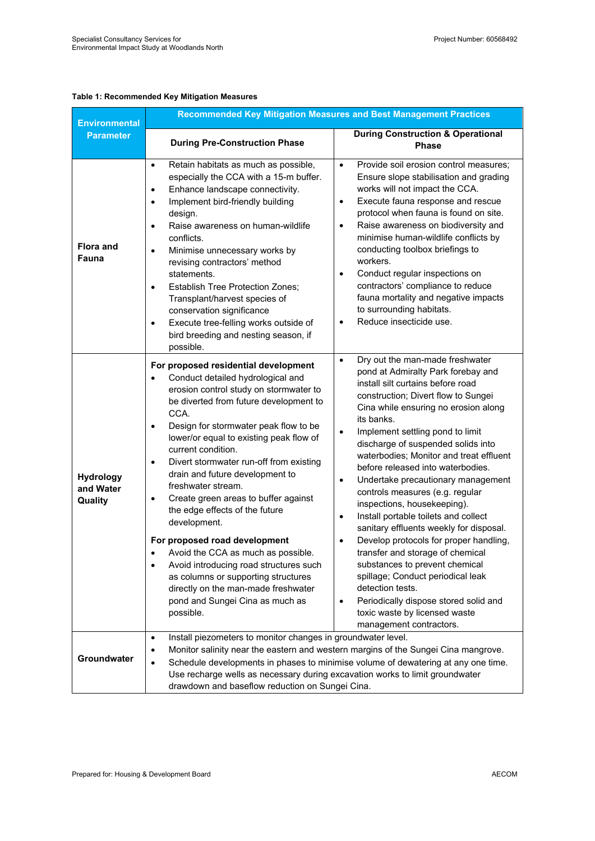### **Table 1: Recommended Key Mitigation Measures**

| <b>Environmental</b>              | <b>Recommended Key Mitigation Measures and Best Management Practices</b>                                                                                                                                                                                                                                                                                                                                                                                                                                                                                                                                                                                                                                                                                                                      |                                                                                                                                                                                                                                                                                                                                                                                                                                                                                                                                                                                                                                                                                                                                                                                                                                                                                                                          |  |  |
|-----------------------------------|-----------------------------------------------------------------------------------------------------------------------------------------------------------------------------------------------------------------------------------------------------------------------------------------------------------------------------------------------------------------------------------------------------------------------------------------------------------------------------------------------------------------------------------------------------------------------------------------------------------------------------------------------------------------------------------------------------------------------------------------------------------------------------------------------|--------------------------------------------------------------------------------------------------------------------------------------------------------------------------------------------------------------------------------------------------------------------------------------------------------------------------------------------------------------------------------------------------------------------------------------------------------------------------------------------------------------------------------------------------------------------------------------------------------------------------------------------------------------------------------------------------------------------------------------------------------------------------------------------------------------------------------------------------------------------------------------------------------------------------|--|--|
| <b>Parameter</b>                  | <b>During Pre-Construction Phase</b>                                                                                                                                                                                                                                                                                                                                                                                                                                                                                                                                                                                                                                                                                                                                                          | <b>During Construction &amp; Operational</b><br><b>Phase</b>                                                                                                                                                                                                                                                                                                                                                                                                                                                                                                                                                                                                                                                                                                                                                                                                                                                             |  |  |
| <b>Flora and</b><br>Fauna         | Retain habitats as much as possible,<br>$\bullet$<br>especially the CCA with a 15-m buffer.<br>Enhance landscape connectivity.<br>$\bullet$<br>Implement bird-friendly building<br>$\bullet$<br>design.<br>Raise awareness on human-wildlife<br>$\bullet$<br>conflicts.<br>Minimise unnecessary works by<br>$\bullet$<br>revising contractors' method<br>statements.<br><b>Establish Tree Protection Zones;</b><br>$\bullet$<br>Transplant/harvest species of<br>conservation significance<br>Execute tree-felling works outside of<br>$\bullet$<br>bird breeding and nesting season, if<br>possible.                                                                                                                                                                                         | Provide soil erosion control measures;<br>$\bullet$<br>Ensure slope stabilisation and grading<br>works will not impact the CCA.<br>Execute fauna response and rescue<br>$\bullet$<br>protocol when fauna is found on site.<br>Raise awareness on biodiversity and<br>$\bullet$<br>minimise human-wildlife conflicts by<br>conducting toolbox briefings to<br>workers.<br>Conduct regular inspections on<br>$\bullet$<br>contractors' compliance to reduce<br>fauna mortality and negative impacts<br>to surrounding habitats.<br>Reduce insecticide use.<br>$\bullet$                                                                                                                                                                                                                                                                                                                                                    |  |  |
| Hydrology<br>and Water<br>Quality | For proposed residential development<br>Conduct detailed hydrological and<br>$\bullet$<br>erosion control study on stormwater to<br>be diverted from future development to<br>CCA.<br>Design for stormwater peak flow to be<br>$\bullet$<br>lower/or equal to existing peak flow of<br>current condition.<br>Divert stormwater run-off from existing<br>$\bullet$<br>drain and future development to<br>freshwater stream.<br>Create green areas to buffer against<br>$\bullet$<br>the edge effects of the future<br>development.<br>For proposed road development<br>Avoid the CCA as much as possible.<br>Avoid introducing road structures such<br>$\bullet$<br>as columns or supporting structures<br>directly on the man-made freshwater<br>pond and Sungei Cina as much as<br>possible. | Dry out the man-made freshwater<br>$\bullet$<br>pond at Admiralty Park forebay and<br>install silt curtains before road<br>construction; Divert flow to Sungei<br>Cina while ensuring no erosion along<br>its banks.<br>Implement settling pond to limit<br>$\bullet$<br>discharge of suspended solids into<br>waterbodies; Monitor and treat effluent<br>before released into waterbodies.<br>Undertake precautionary management<br>$\bullet$<br>controls measures (e.g. regular<br>inspections, housekeeping).<br>Install portable toilets and collect<br>$\bullet$<br>sanitary effluents weekly for disposal.<br>Develop protocols for proper handling,<br>$\bullet$<br>transfer and storage of chemical<br>substances to prevent chemical<br>spillage; Conduct periodical leak<br>detection tests.<br>Periodically dispose stored solid and<br>$\bullet$<br>toxic waste by licensed waste<br>management contractors. |  |  |
| <b>Groundwater</b>                | Install piezometers to monitor changes in groundwater level.<br>Monitor salinity near the eastern and western margins of the Sungei Cina mangrove.<br>Schedule developments in phases to minimise volume of dewatering at any one time.<br>Use recharge wells as necessary during excavation works to limit groundwater<br>drawdown and baseflow reduction on Sungei Cina.                                                                                                                                                                                                                                                                                                                                                                                                                    |                                                                                                                                                                                                                                                                                                                                                                                                                                                                                                                                                                                                                                                                                                                                                                                                                                                                                                                          |  |  |